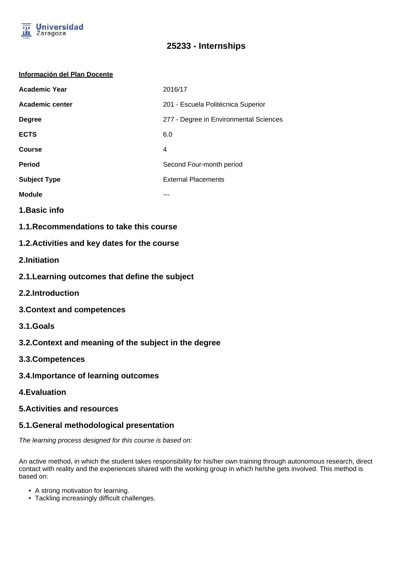

# **25233 - Internships**

#### **Información del Plan Docente**

| <b>Academic Year</b>   | 2016/17                                |
|------------------------|----------------------------------------|
| <b>Academic center</b> | 201 - Escuela Politécnica Superior     |
| <b>Degree</b>          | 277 - Degree in Environmental Sciences |
| <b>ECTS</b>            | 6.0                                    |
| Course                 | 4                                      |
| <b>Period</b>          | Second Four-month period               |
| <b>Subject Type</b>    | <b>External Placements</b>             |
| <b>Module</b>          |                                        |

- **1.Basic info**
- **1.1.Recommendations to take this course**

### **1.2.Activities and key dates for the course**

- **2.Initiation**
- **2.1.Learning outcomes that define the subject**
- **2.2.Introduction**
- **3.Context and competences**
- **3.1.Goals**
- **3.2.Context and meaning of the subject in the degree**
- **3.3.Competences**
- **3.4.Importance of learning outcomes**
- **4.Evaluation**

#### **5.Activities and resources**

### **5.1.General methodological presentation**

The learning process designed for this course is based on:

An active method, in which the student takes responsibility for his/her own training through autonomous research, direct contact with reality and the experiences shared with the working group in which he/she gets involved. This method is based on:

- A strong motivation for learning.
- Tackling increasingly difficult challenges.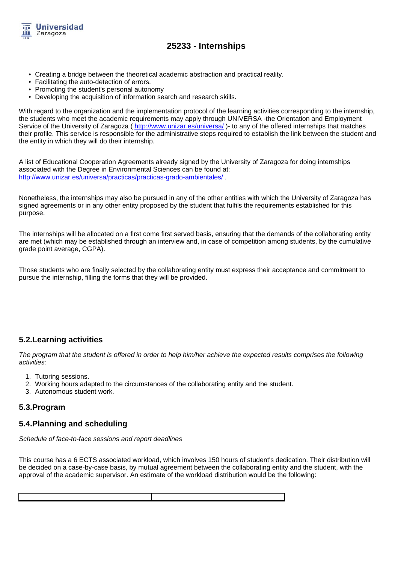

# **25233 - Internships**

- Creating a bridge between the theoretical academic abstraction and practical reality.
- Facilitating the auto-detection of errors.
- Promoting the student's personal autonomy
- Developing the acquisition of information search and research skills.

With regard to the organization and the implementation protocol of the learning activities corresponding to the internship, the students who meet the academic requirements may apply through UNIVERSA -the Orientation and Employment Service of the University of Zaragoza ( http://www.unizar.es/universa/ )- to any of the offered internships that matches their profile. This service is responsible for the administrative steps required to establish the link between the student and the entity in which they will do their internship.

A list of Educational Cooperation Agreements already signed by the University of Zaragoza for doing internships associated with the Degree in Environmental Sciences can be found at: http://www.unizar.es/universa/practicas/practicas-grado-ambientales/ .

Nonetheless, the internships may also be pursued in any of the other entities with which the University of Zaragoza has signed agreements or in any other entity proposed by the student that fulfils the requirements established for this purpose.

The internships will be allocated on a first come first served basis, ensuring that the demands of the collaborating entity are met (which may be established through an interview and, in case of competition among students, by the cumulative grade point average, CGPA).

Those students who are finally selected by the collaborating entity must express their acceptance and commitment to pursue the internship, filling the forms that they will be provided.

### **5.2.Learning activities**

The program that the student is offered in order to help him/her achieve the expected results comprises the following activities:

- 1. Tutoring sessions.
- 2. Working hours adapted to the circumstances of the collaborating entity and the student.
- 3. Autonomous student work.

### **5.3.Program**

#### **5.4.Planning and scheduling**

Schedule of face-to-face sessions and report deadlines

This course has a 6 ECTS associated workload, which involves 150 hours of student's dedication. Their distribution will be decided on a case-by-case basis, by mutual agreement between the collaborating entity and the student, with the approval of the academic supervisor. An estimate of the workload distribution would be the following: